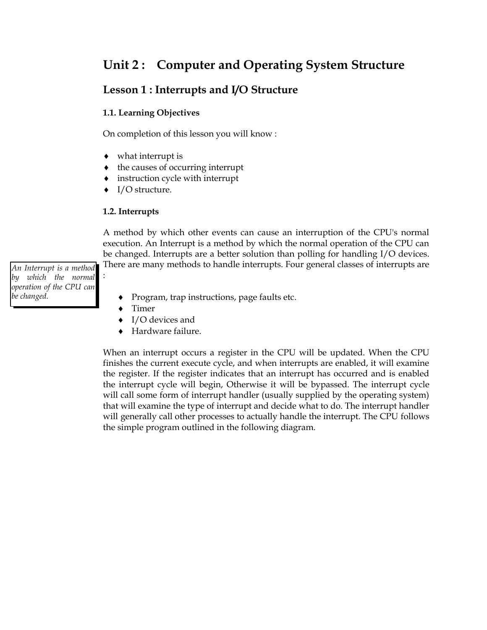## **Unit 2 : Computer and Operating System Structure**

## **Lesson 1 : Interrupts and I/O Structure**

## **1.1. Learning Objectives**

On completion of this lesson you will know :

- what interrupt is
- $\bullet$  the causes of occurring interrupt
- instruction cycle with interrupt
- I/O structure.

#### **1.2. Interrupts**

A method by which other events can cause an interruption of the CPU's normal execution. An Interrupt is a method by which the normal operation of the CPU can be changed. Interrupts are a better solution than polling for handling I/O devices.

There are many methods to handle interrupts. Four general classes of interrupts are :

*An Interrupt is a method by which the normal operation of the CPU can be changed.*

- Program, trap instructions, page faults etc.
- Timer
- I/O devices and
- Hardware failure.

When an interrupt occurs a register in the CPU will be updated. When the CPU finishes the current execute cycle, and when interrupts are enabled, it will examine the register. If the register indicates that an interrupt has occurred and is enabled the interrupt cycle will begin, Otherwise it will be bypassed. The interrupt cycle will call some form of interrupt handler (usually supplied by the operating system) that will examine the type of interrupt and decide what to do. The interrupt handler will generally call other processes to actually handle the interrupt. The CPU follows the simple program outlined in the following diagram.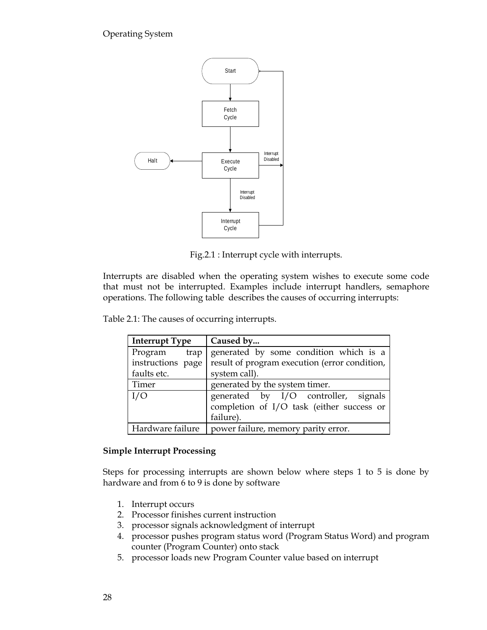

Fig.2.1 : Interrupt cycle with interrupts.

Interrupts are disabled when the operating system wishes to execute some code that must not be interrupted. Examples include interrupt handlers, semaphore operations. The following table describes the causes of occurring interrupts:

| <b>Interrupt Type</b> | Caused by                                     |
|-----------------------|-----------------------------------------------|
| Program<br>trap       | generated by some condition which is a        |
| instructions page     | result of program execution (error condition, |
| faults etc.           | system call).                                 |
| Timer                 | generated by the system timer.                |
| I/O                   | generated by I/O controller, signals          |
|                       | completion of I/O task (either success or     |
|                       | failure).                                     |
| Hardware failure      | power failure, memory parity error.           |

## **Simple Interrupt Processing**

Steps for processing interrupts are shown below where steps 1 to 5 is done by hardware and from 6 to 9 is done by software

- 1. Interrupt occurs
- 2. Processor finishes current instruction
- 3. processor signals acknowledgment of interrupt
- 4. processor pushes program status word (Program Status Word) and program counter (Program Counter) onto stack
- 5. processor loads new Program Counter value based on interrupt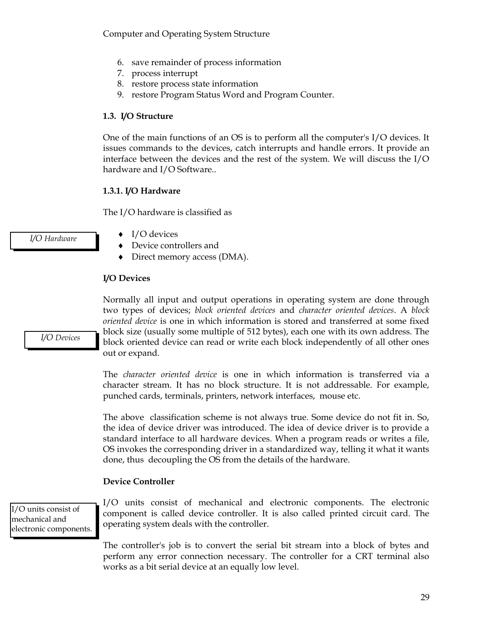Computer and Operating System Structure

- 6. save remainder of process information
- 7. process interrupt
- 8. restore process state information
- 9. restore Program Status Word and Program Counter.

#### **1.3. I/O Structure**

One of the main functions of an OS is to perform all the computer's I/O devices. It issues commands to the devices, catch interrupts and handle errors. It provide an interface between the devices and the rest of the system. We will discuss the I/O hardware and I/O Software..

#### **1.3.1. I/O Hardware**

The I/O hardware is classified as

- I/O devices
- Device controllers and
- Direct memory access (DMA).

## **I/O Devices**

out or expand.

*I/O Devices*

*I/O Hardware*

The *character oriented device* is one in which information is transferred via a character stream. It has no block structure. It is not addressable. For example, punched cards, terminals, printers, network interfaces, mouse etc.

Normally all input and output operations in operating system are done through two types of devices; *block oriented devices* and *character oriented devices*. A *block oriented device* is one in which information is stored and transferred at some fixed block size (usually some multiple of 512 bytes), each one with its own address. The block oriented device can read or write each block independently of all other ones

The above classification scheme is not always true. Some device do not fit in. So, the idea of device driver was introduced. The idea of device driver is to provide a standard interface to all hardware devices. When a program reads or writes a file, OS invokes the corresponding driver in a standardized way, telling it what it wants done, thus decoupling the OS from the details of the hardware.

## **Device Controller**

I/O units consist of mechanical and electronic components. I/O units consist of mechanical and electronic components. The electronic component is called device controller. It is also called printed circuit card. The operating system deals with the controller.

The controller's job is to convert the serial bit stream into a block of bytes and perform any error connection necessary. The controller for a CRT terminal also works as a bit serial device at an equally low level.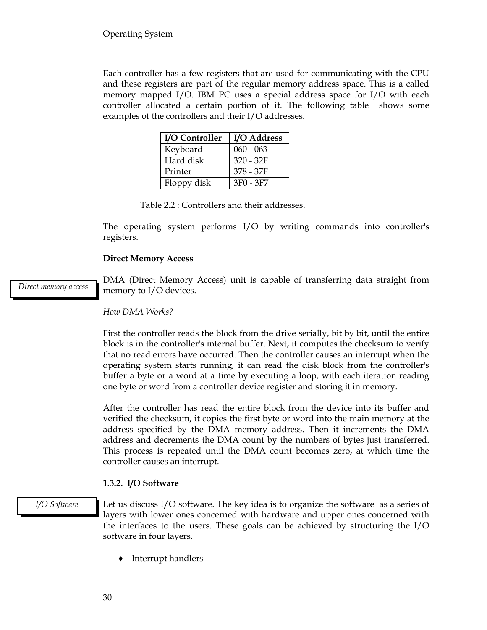Each controller has a few registers that are used for communicating with the CPU and these registers are part of the regular memory address space. This is a called memory mapped I/O. IBM PC uses a special address space for I/O with each controller allocated a certain portion of it. The following table shows some examples of the controllers and their I/O addresses.

| I/O Controller | I/O Address |
|----------------|-------------|
| Keyboard       | $060 - 063$ |
| Hard disk      | $320 - 32F$ |
| Printer        | 378 - 37F   |
| Floppy disk    | 3F0 - 3F7   |

Table 2.2 : Controllers and their addresses.

The operating system performs I/O by writing commands into controller's registers.

## **Direct Memory Access**

*Direct memory access*

DMA (Direct Memory Access) unit is capable of transferring data straight from memory to I/O devices.

#### *How DMA Works?*

First the controller reads the block from the drive serially, bit by bit, until the entire block is in the controller's internal buffer. Next, it computes the checksum to verify that no read errors have occurred. Then the controller causes an interrupt when the operating system starts running, it can read the disk block from the controller's buffer a byte or a word at a time by executing a loop, with each iteration reading one byte or word from a controller device register and storing it in memory.

After the controller has read the entire block from the device into its buffer and verified the checksum, it copies the first byte or word into the main memory at the address specified by the DMA memory address. Then it increments the DMA address and decrements the DMA count by the numbers of bytes just transferred. This process is repeated until the DMA count becomes zero, at which time the controller causes an interrupt.

## **1.3.2. I/O Software**

#### *I/O Software*

Let us discuss I/O software. The key idea is to organize the software as a series of layers with lower ones concerned with hardware and upper ones concerned with the interfaces to the users. These goals can be achieved by structuring the I/O software in four layers.

• Interrupt handlers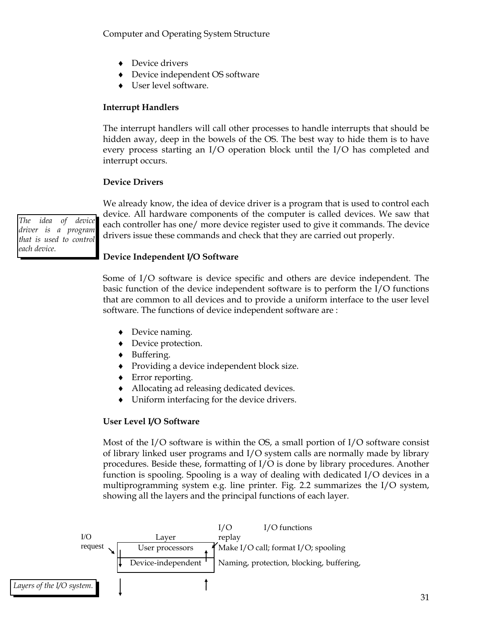Computer and Operating System Structure

- ◆ Device drivers
- Device independent OS software
- User level software.

## **Interrupt Handlers**

The interrupt handlers will call other processes to handle interrupts that should be hidden away, deep in the bowels of the OS. The best way to hide them is to have every process starting an I/O operation block until the I/O has completed and interrupt occurs.

#### **Device Drivers**

*The idea of device driver is a program that is used to control each device.*

We already know, the idea of device driver is a program that is used to control each device. All hardware components of the computer is called devices. We saw that each controller has one/ more device register used to give it commands. The device drivers issue these commands and check that they are carried out properly.

## **Device Independent I/O Software**

Some of I/O software is device specific and others are device independent. The basic function of the device independent software is to perform the I/O functions that are common to all devices and to provide a uniform interface to the user level software. The functions of device independent software are :

- Device naming.
- Device protection.
- Buffering.
- Providing a device independent block size.
- Error reporting.
- Allocating ad releasing dedicated devices.
- Uniform interfacing for the device drivers.

#### **User Level I/O Software**

Most of the I/O software is within the OS, a small portion of I/O software consist of library linked user programs and I/O system calls are normally made by library procedures. Beside these, formatting of I/O is done by library procedures. Another function is spooling. Spooling is a way of dealing with dedicated I/O devices in a multiprogramming system e.g. line printer. Fig. 2.2 summarizes the I/O system, showing all the layers and the principal functions of each layer.

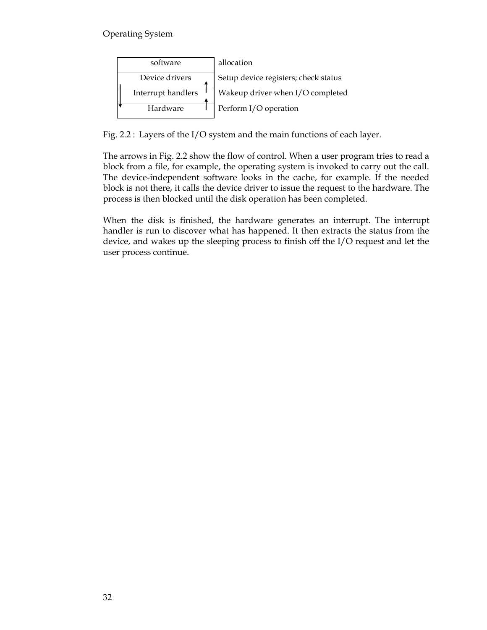| software           | allocation                           |
|--------------------|--------------------------------------|
| Device drivers     | Setup device registers; check status |
| Interrupt handlers | Wakeup driver when I/O completed     |
| Hardware           | Perform I/O operation                |

Fig. 2.2 : Layers of the I/O system and the main functions of each layer.

The arrows in Fig. 2.2 show the flow of control. When a user program tries to read a block from a file, for example, the operating system is invoked to carry out the call. The device-independent software looks in the cache, for example. If the needed block is not there, it calls the device driver to issue the request to the hardware. The process is then blocked until the disk operation has been completed.

When the disk is finished, the hardware generates an interrupt. The interrupt handler is run to discover what has happened. It then extracts the status from the device, and wakes up the sleeping process to finish off the I/O request and let the user process continue.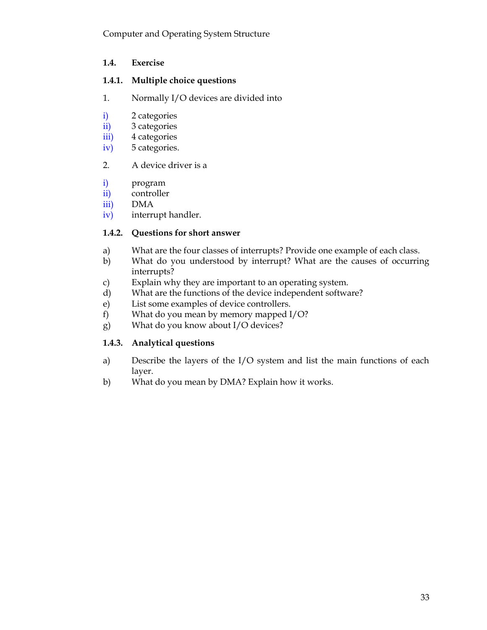## **1.4. Exercise**

## **1.4.1. Multiple choice questions**

- 1. Normally I/O devices are divided into
- i) 2 categories
- ii) 3 categories
- iii) 4 categories
- iv) 5 categories.
- 2. A device driver is a
- i) program
- ii) controller
- iii) DMA
- iv) interrupt handler.

## **1.4.2. Questions for short answer**

- a) What are the four classes of interrupts? Provide one example of each class.
- b) What do you understood by interrupt? What are the causes of occurring interrupts?
- c) Explain why they are important to an operating system.
- d) What are the functions of the device independent software?
- e) List some examples of device controllers.
- f) What do you mean by memory mapped I/O?
- g) What do you know about I/O devices?

## **1.4.3. Analytical questions**

- a) Describe the layers of the I/O system and list the main functions of each layer.
- b) What do you mean by DMA? Explain how it works.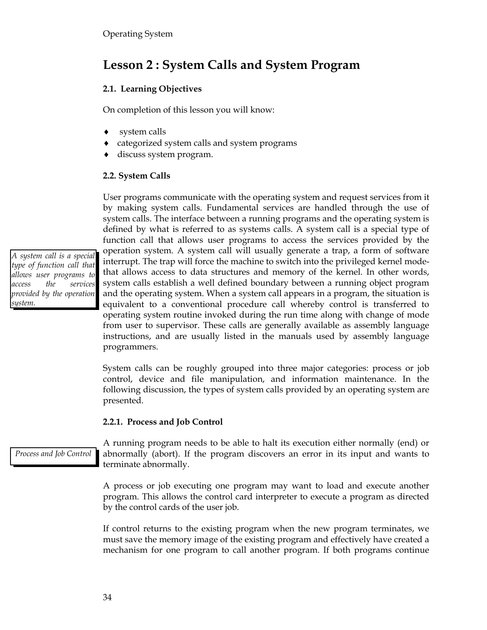## **Lesson 2 : System Calls and System Program**

## **2.1. Learning Objectives**

On completion of this lesson you will know:

- system calls
- categorized system calls and system programs
- discuss system program.

## **2.2. System Calls**

by making system calls. Fundamental services are handled through the use of system calls. The interface between a running programs and the operating system is defined by what is referred to as systems calls. A system call is a special type of function call that allows user programs to access the services provided by the operation system. A system call will usually generate a trap, a form of software interrupt. The trap will force the machine to switch into the privileged kernel modethat allows access to data structures and memory of the kernel. In other words, system calls establish a well defined boundary between a running object program and the operating system. When a system call appears in a program, the situation is equivalent to a conventional procedure call whereby control is transferred to operating system routine invoked during the run time along with change of mode from user to supervisor. These calls are generally available as assembly language instructions, and are usually listed in the manuals used by assembly language programmers. *A system call is a special type of function call that allows user programs to access the services provided by the operation* 

User programs communicate with the operating system and request services from it

System calls can be roughly grouped into three major categories: process or job control, device and file manipulation, and information maintenance. In the following discussion, the types of system calls provided by an operating system are presented.

## **2.2.1. Process and Job Control**

*Process and Job Control*

*system.*

A running program needs to be able to halt its execution either normally (end) or abnormally (abort). If the program discovers an error in its input and wants to terminate abnormally.

A process or job executing one program may want to load and execute another program. This allows the control card interpreter to execute a program as directed by the control cards of the user job.

If control returns to the existing program when the new program terminates, we must save the memory image of the existing program and effectively have created a mechanism for one program to call another program. If both programs continue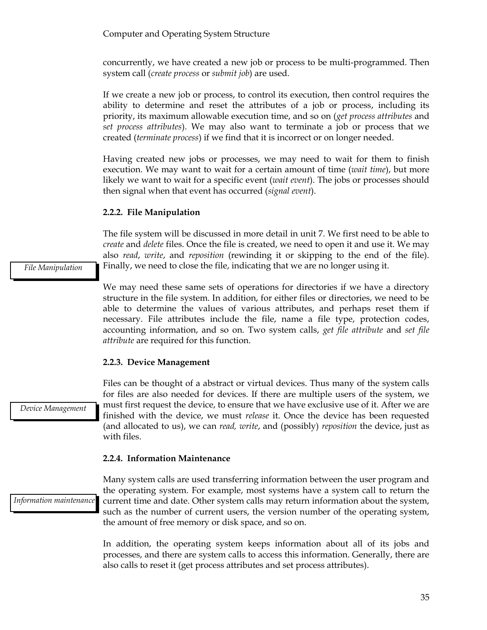concurrently, we have created a new job or process to be multi-programmed. Then system call (*create process* or *submit job*) are used.

If we create a new job or process, to control its execution, then control requires the ability to determine and reset the attributes of a job or process, including its priority, its maximum allowable execution time, and so on (*get process attributes* and *set process attributes*). We may also want to terminate a job or process that we created (*terminate process*) if we find that it is incorrect or on longer needed.

Having created new jobs or processes, we may need to wait for them to finish execution. We may want to wait for a certain amount of time (*wait time*), but more likely we want to wait for a specific event (*wait event*). The jobs or processes should then signal when that event has occurred (*signal event*).

#### **2.2.2. File Manipulation**

The file system will be discussed in more detail in unit 7. We first need to be able to *create* and *delete* files. Once the file is created, we need to open it and use it. We may also *read*, *write*, and *reposition* (rewinding it or skipping to the end of the file). Finally, we need to close the file, indicating that we are no longer using it.

We may need these same sets of operations for directories if we have a directory structure in the file system. In addition, for either files or directories, we need to be able to determine the values of various attributes, and perhaps reset them if necessary. File attributes include the file, name a file type, protection codes, accounting information, and so on. Two system calls, *get file attribute* and *set file attribute* are required for this function.

#### **2.2.3. Device Management**

Files can be thought of a abstract or virtual devices. Thus many of the system calls for files are also needed for devices. If there are multiple users of the system, we must first request the device, to ensure that we have exclusive use of it. After we are finished with the device, we must *release* it. Once the device has been requested (and allocated to us), we can *read, write*, and (possibly) *reposition* the device, just as with files.

#### **2.2.4. Information Maintenance**

*Information maintenance*

*Device Management*

Many system calls are used transferring information between the user program and the operating system. For example, most systems have a system call to return the current time and date. Other system calls may return information about the system, such as the number of current users, the version number of the operating system, the amount of free memory or disk space, and so on.

In addition, the operating system keeps information about all of its jobs and processes, and there are system calls to access this information. Generally, there are also calls to reset it (get process attributes and set process attributes).

*File Manipulation*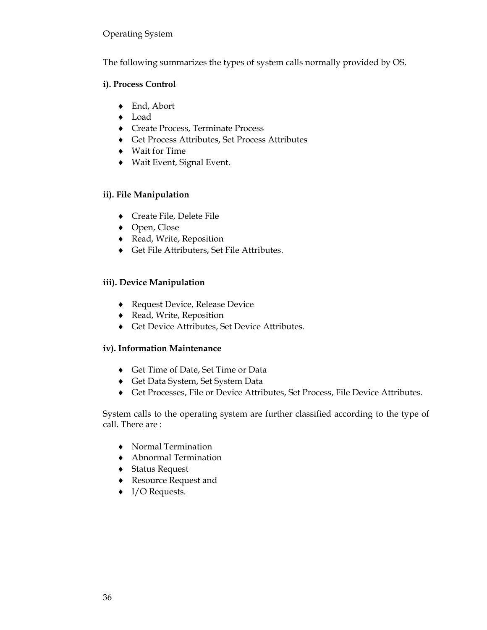The following summarizes the types of system calls normally provided by OS.

#### **i). Process Control**

- ◆ End, Abort
- Load
- Create Process, Terminate Process
- Get Process Attributes, Set Process Attributes
- Wait for Time
- Wait Event, Signal Event.

## **ii). File Manipulation**

- Create File, Delete File
- ◆ Open, Close
- Read, Write, Reposition
- Get File Attributers, Set File Attributes.

## **iii). Device Manipulation**

- ◆ Request Device, Release Device
- Read, Write, Reposition
- Get Device Attributes, Set Device Attributes.

## **iv). Information Maintenance**

- Get Time of Date, Set Time or Data
- Get Data System, Set System Data
- Get Processes, File or Device Attributes, Set Process, File Device Attributes.

System calls to the operating system are further classified according to the type of call. There are :

- Normal Termination
- Abnormal Termination
- Status Request
- Resource Request and
- ◆ I/O Requests.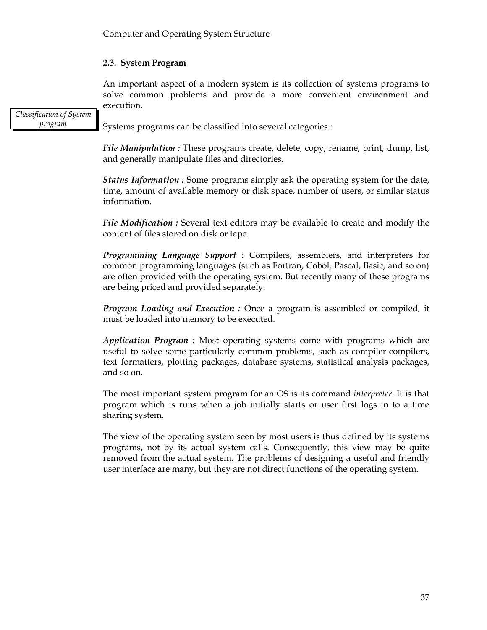## **2.3. System Program**

An important aspect of a modern system is its collection of systems programs to solve common problems and provide a more convenient environment and execution.

*Classification of System program*

Systems programs can be classified into several categories :

*File Manipulation* : These programs create, delete, copy, rename, print, dump, list, and generally manipulate files and directories.

*Status Information :* Some programs simply ask the operating system for the date, time, amount of available memory or disk space, number of users, or similar status information.

*File Modification :* Several text editors may be available to create and modify the content of files stored on disk or tape.

*Programming Language Support :* Compilers, assemblers, and interpreters for common programming languages (such as Fortran, Cobol, Pascal, Basic, and so on) are often provided with the operating system. But recently many of these programs are being priced and provided separately.

*Program Loading and Execution :* Once a program is assembled or compiled, it must be loaded into memory to be executed.

*Application Program :* Most operating systems come with programs which are useful to solve some particularly common problems, such as compiler-compilers, text formatters, plotting packages, database systems, statistical analysis packages, and so on.

The most important system program for an OS is its command *interpreter*. It is that program which is runs when a job initially starts or user first logs in to a time sharing system.

The view of the operating system seen by most users is thus defined by its systems programs, not by its actual system calls. Consequently, this view may be quite removed from the actual system. The problems of designing a useful and friendly user interface are many, but they are not direct functions of the operating system.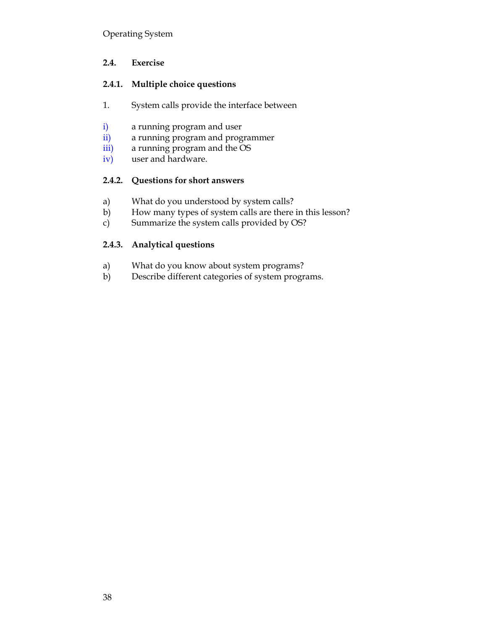## **2.4. Exercise**

## **2.4.1. Multiple choice questions**

- 1. System calls provide the interface between
- i) a running program and user
- ii) a running program and programmer
- iii) a running program and the OS
- iv) user and hardware.

## **2.4.2. Questions for short answers**

- a) What do you understood by system calls?
- b) How many types of system calls are there in this lesson?
- c) Summarize the system calls provided by OS?

## **2.4.3. Analytical questions**

- a) What do you know about system programs?
- b) Describe different categories of system programs.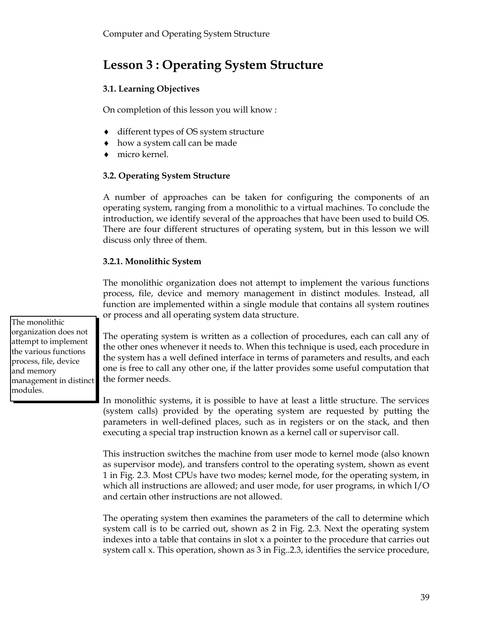# **Lesson 3 : Operating System Structure**

## **3.1. Learning Objectives**

On completion of this lesson you will know :

- ◆ different types of OS system structure
- how a system call can be made
- micro kernel.

## **3.2. Operating System Structure**

A number of approaches can be taken for configuring the components of an operating system, ranging from a monolithic to a virtual machines. To conclude the introduction, we identify several of the approaches that have been used to build OS. There are four different structures of operating system, but in this lesson we will discuss only three of them.

## **3.2.1. Monolithic System**

The monolithic organization does not attempt to implement the various functions process, file, device and memory management in distinct modules. Instead, all function are implemented within a single module that contains all system routines or process and all operating system data structure.

The operating system is written as a collection of procedures, each can call any of the other ones whenever it needs to. When this technique is used, each procedure in the system has a well defined interface in terms of parameters and results, and each one is free to call any other one, if the latter provides some useful computation that the former needs.

In monolithic systems, it is possible to have at least a little structure. The services (system calls) provided by the operating system are requested by putting the parameters in well-defined places, such as in registers or on the stack, and then executing a special trap instruction known as a kernel call or supervisor call.

This instruction switches the machine from user mode to kernel mode (also known as supervisor mode), and transfers control to the operating system, shown as event 1 in Fig. 2.3. Most CPUs have two modes; kernel mode, for the operating system, in which all instructions are allowed; and user mode, for user programs, in which I/O and certain other instructions are not allowed.

The operating system then examines the parameters of the call to determine which system call is to be carried out, shown as 2 in Fig. 2.3. Next the operating system indexes into a table that contains in slot x a pointer to the procedure that carries out system call x. This operation, shown as 3 in Fig..2.3, identifies the service procedure,

The monolithic organization does not attempt to implement the various functions process, file, device and memory management in distinct modules.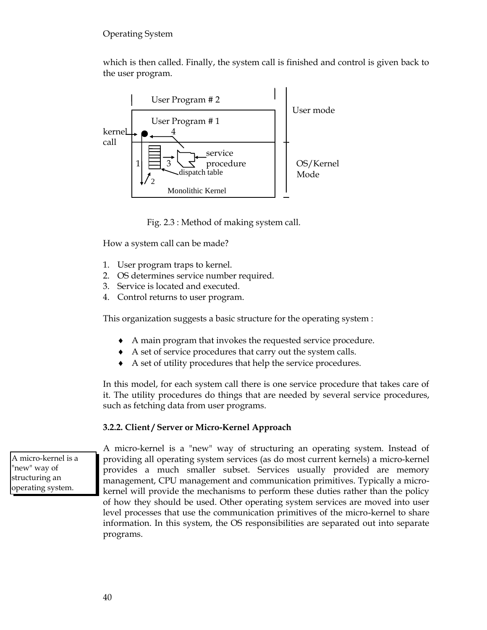which is then called. Finally, the system call is finished and control is given back to the user program.



Fig. 2.3 : Method of making system call.

How a system call can be made?

- 1. User program traps to kernel.
- 2. OS determines service number required.
- 3. Service is located and executed.
- 4. Control returns to user program.

This organization suggests a basic structure for the operating system :

- A main program that invokes the requested service procedure.
- A set of service procedures that carry out the system calls.
- A set of utility procedures that help the service procedures.

In this model, for each system call there is one service procedure that takes care of it. The utility procedures do things that are needed by several service procedures, such as fetching data from user programs.

#### **3.2.2. Client / Server or Micro-Kernel Approach**

A micro-kernel is a "new" way of structuring an operating system.

A micro-kernel is a "new" way of structuring an operating system. Instead of providing all operating system services (as do most current kernels) a micro-kernel provides a much smaller subset. Services usually provided are memory management, CPU management and communication primitives. Typically a microkernel will provide the mechanisms to perform these duties rather than the policy of how they should be used. Other operating system services are moved into user level processes that use the communication primitives of the micro-kernel to share information. In this system, the OS responsibilities are separated out into separate programs.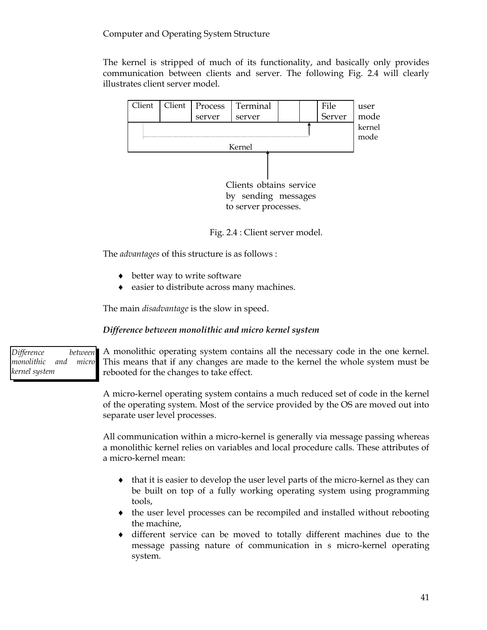## Computer and Operating System Structure

The kernel is stripped of much of its functionality, and basically only provides communication between clients and server. The following Fig. 2.4 will clearly illustrates client server model.



Fig. 2.4 : Client server model.

The *advantages* of this structure is as follows :

- $\bullet$  better way to write software
- easier to distribute across many machines.

The main *disadvantage* is the slow in speed.

## *Difference between monolithic and micro kernel system*

*Difference between monolithic and micro kernel system*

A monolithic operating system contains all the necessary code in the one kernel. This means that if any changes are made to the kernel the whole system must be rebooted for the changes to take effect.

A micro-kernel operating system contains a much reduced set of code in the kernel of the operating system. Most of the service provided by the OS are moved out into separate user level processes.

All communication within a micro-kernel is generally via message passing whereas a monolithic kernel relies on variables and local procedure calls. These attributes of a micro-kernel mean:

- $\bullet$  that it is easier to develop the user level parts of the micro-kernel as they can be built on top of a fully working operating system using programming tools,
- the user level processes can be recompiled and installed without rebooting the machine,
- different service can be moved to totally different machines due to the message passing nature of communication in s micro-kernel operating system.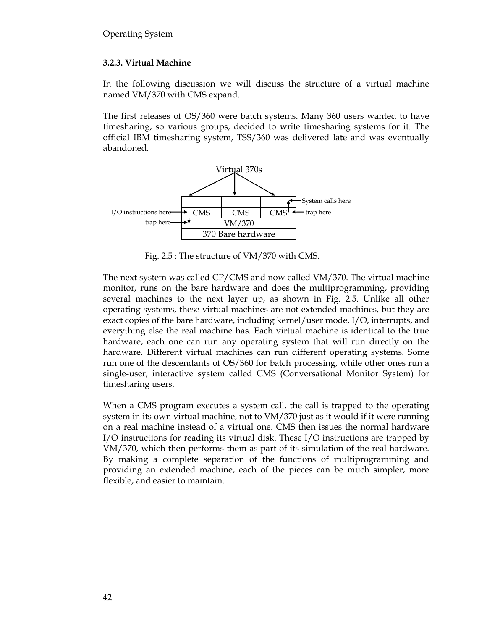## **3.2.3. Virtual Machine**

In the following discussion we will discuss the structure of a virtual machine named VM/370 with CMS expand.

The first releases of OS/360 were batch systems. Many 360 users wanted to have timesharing, so various groups, decided to write timesharing systems for it. The official IBM timesharing system, TSS/360 was delivered late and was eventually abandoned.



Fig. 2.5 : The structure of VM/370 with CMS.

The next system was called CP/CMS and now called VM/370. The virtual machine monitor, runs on the bare hardware and does the multiprogramming, providing several machines to the next layer up, as shown in Fig. 2.5. Unlike all other operating systems, these virtual machines are not extended machines, but they are exact copies of the bare hardware, including kernel/user mode, I/O, interrupts, and everything else the real machine has. Each virtual machine is identical to the true hardware, each one can run any operating system that will run directly on the hardware. Different virtual machines can run different operating systems. Some run one of the descendants of OS/360 for batch processing, while other ones run a single-user, interactive system called CMS (Conversational Monitor System) for timesharing users.

When a CMS program executes a system call, the call is trapped to the operating system in its own virtual machine, not to VM/370 just as it would if it were running on a real machine instead of a virtual one. CMS then issues the normal hardware I/O instructions for reading its virtual disk. These I/O instructions are trapped by VM/370, which then performs them as part of its simulation of the real hardware. By making a complete separation of the functions of multiprogramming and providing an extended machine, each of the pieces can be much simpler, more flexible, and easier to maintain.